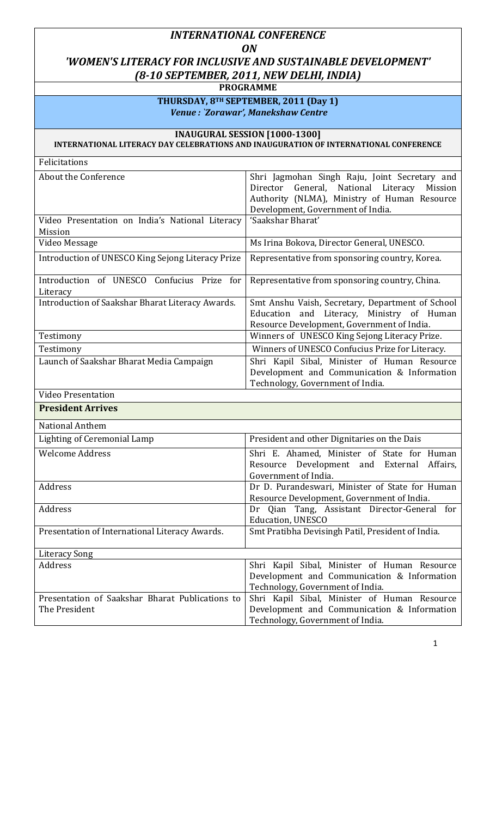## INTERNATIONAL CONFERENCE **ON** 'WOMEN'S LITERACY FOR INCLUSIVE AND SUSTAINABLE DEVELOPMENT' (8-10 SEPTEMBER, 2011, NEW DELHI, INDIA)

PROGRAMME

THURSDAY, 8TH SEPTEMBER, 2011 (Day 1) Venue : `Zorawar', Manekshaw Centre

## INAUGURAL SESSION [1000-1300]

INTERNATIONAL LITERACY DAY CELEBRATIONS AND INAUGURATION OF INTERNATIONAL CONFERENCE

| Felicitations                                                    |                                                                                                                                                                                         |
|------------------------------------------------------------------|-----------------------------------------------------------------------------------------------------------------------------------------------------------------------------------------|
| About the Conference                                             | Shri Jagmohan Singh Raju, Joint Secretary and<br>General, National Literacy<br>Director<br>Mission<br>Authority (NLMA), Ministry of Human Resource<br>Development, Government of India. |
| Video Presentation on India's National Literacy                  | 'Saakshar Bharat'                                                                                                                                                                       |
| <b>Mission</b>                                                   |                                                                                                                                                                                         |
| Video Message                                                    | Ms Irina Bokova, Director General, UNESCO.                                                                                                                                              |
| Introduction of UNESCO King Sejong Literacy Prize                | Representative from sponsoring country, Korea.                                                                                                                                          |
| Introduction of UNESCO Confucius Prize for<br>Literacy           | Representative from sponsoring country, China.                                                                                                                                          |
| Introduction of Saakshar Bharat Literacy Awards.                 | Smt Anshu Vaish, Secretary, Department of School<br>Education and Literacy, Ministry of Human<br>Resource Development, Government of India.                                             |
| Testimony                                                        | Winners of UNESCO King Sejong Literacy Prize.                                                                                                                                           |
| Testimony                                                        | Winners of UNESCO Confucius Prize for Literacy.                                                                                                                                         |
| Launch of Saakshar Bharat Media Campaign                         | Shri Kapil Sibal, Minister of Human Resource<br>Development and Communication & Information<br>Technology, Government of India.                                                         |
| <b>Video Presentation</b>                                        |                                                                                                                                                                                         |
| <b>President Arrives</b>                                         |                                                                                                                                                                                         |
| National Anthem                                                  |                                                                                                                                                                                         |
| <b>Lighting of Ceremonial Lamp</b>                               | President and other Dignitaries on the Dais                                                                                                                                             |
| <b>Welcome Address</b>                                           | Shri E. Ahamed, Minister of State for Human<br>Resource Development and External<br>Affairs,<br>Government of India.                                                                    |
| Address                                                          | Dr D. Purandeswari, Minister of State for Human<br>Resource Development, Government of India.                                                                                           |
| Address                                                          | Dr Qian Tang, Assistant Director-General for<br>Education, UNESCO                                                                                                                       |
| Presentation of International Literacy Awards.                   | Smt Pratibha Devisingh Patil, President of India.                                                                                                                                       |
| Literacy Song                                                    |                                                                                                                                                                                         |
| Address                                                          | Shri Kapil Sibal, Minister of Human Resource<br>Development and Communication & Information<br>Technology, Government of India.                                                         |
| Presentation of Saakshar Bharat Publications to<br>The President | Shri Kapil Sibal, Minister of Human Resource<br>Development and Communication & Information<br>Technology, Government of India.                                                         |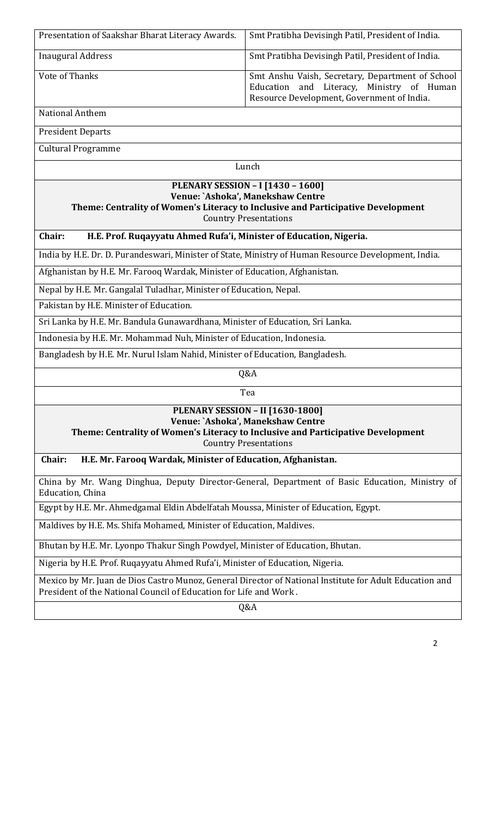| Presentation of Saakshar Bharat Literacy Awards.                                                                                                                                                  | Smt Pratibha Devisingh Patil, President of India.                                                                                           |  |
|---------------------------------------------------------------------------------------------------------------------------------------------------------------------------------------------------|---------------------------------------------------------------------------------------------------------------------------------------------|--|
| <b>Inaugural Address</b>                                                                                                                                                                          | Smt Pratibha Devisingh Patil, President of India.                                                                                           |  |
| Vote of Thanks                                                                                                                                                                                    | Smt Anshu Vaish, Secretary, Department of School<br>Education and Literacy, Ministry of Human<br>Resource Development, Government of India. |  |
| National Anthem                                                                                                                                                                                   |                                                                                                                                             |  |
| <b>President Departs</b>                                                                                                                                                                          |                                                                                                                                             |  |
| <b>Cultural Programme</b>                                                                                                                                                                         |                                                                                                                                             |  |
| Lunch                                                                                                                                                                                             |                                                                                                                                             |  |
| <b>PLENARY SESSION - I [1430 - 1600]</b><br>Venue: `Ashoka', Manekshaw Centre<br>Theme: Centrality of Women's Literacy to Inclusive and Participative Development<br><b>Country Presentations</b> |                                                                                                                                             |  |
| Chair:<br>H.E. Prof. Ruqayyatu Ahmed Rufa'i, Minister of Education, Nigeria.                                                                                                                      |                                                                                                                                             |  |
| India by H.E. Dr. D. Purandeswari, Minister of State, Ministry of Human Resource Development, India.                                                                                              |                                                                                                                                             |  |
| Afghanistan by H.E. Mr. Farooq Wardak, Minister of Education, Afghanistan.                                                                                                                        |                                                                                                                                             |  |
| Nepal by H.E. Mr. Gangalal Tuladhar, Minister of Education, Nepal.                                                                                                                                |                                                                                                                                             |  |
| Pakistan by H.E. Minister of Education.                                                                                                                                                           |                                                                                                                                             |  |
| Sri Lanka by H.E. Mr. Bandula Gunawardhana, Minister of Education, Sri Lanka.                                                                                                                     |                                                                                                                                             |  |
| Indonesia by H.E. Mr. Mohammad Nuh, Minister of Education, Indonesia.                                                                                                                             |                                                                                                                                             |  |
| Bangladesh by H.E. Mr. Nurul Islam Nahid, Minister of Education, Bangladesh.                                                                                                                      |                                                                                                                                             |  |
| Q&A                                                                                                                                                                                               |                                                                                                                                             |  |
|                                                                                                                                                                                                   | Tea                                                                                                                                         |  |
| <b>PLENARY SESSION - II [1630-1800]</b>                                                                                                                                                           |                                                                                                                                             |  |
| Venue: `Ashoka', Manekshaw Centre<br>Theme: Centrality of Women's Literacy to Inclusive and Participative Development                                                                             |                                                                                                                                             |  |
| <b>Country Presentations</b>                                                                                                                                                                      |                                                                                                                                             |  |
| Chair:<br>H.E. Mr. Farooq Wardak, Minister of Education, Afghanistan.                                                                                                                             |                                                                                                                                             |  |
| China by Mr. Wang Dinghua, Deputy Director-General, Department of Basic Education, Ministry of<br>Education, China                                                                                |                                                                                                                                             |  |
| Egypt by H.E. Mr. Ahmedgamal Eldin Abdelfatah Moussa, Minister of Education, Egypt.                                                                                                               |                                                                                                                                             |  |
| Maldives by H.E. Ms. Shifa Mohamed, Minister of Education, Maldives.                                                                                                                              |                                                                                                                                             |  |
| Bhutan by H.E. Mr. Lyonpo Thakur Singh Powdyel, Minister of Education, Bhutan.                                                                                                                    |                                                                                                                                             |  |
| Nigeria by H.E. Prof. Ruqayyatu Ahmed Rufa'i, Minister of Education, Nigeria.                                                                                                                     |                                                                                                                                             |  |
| Mexico by Mr. Juan de Dios Castro Munoz, General Director of National Institute for Adult Education and<br>President of the National Council of Education for Life and Work.                      |                                                                                                                                             |  |
|                                                                                                                                                                                                   | Q&A                                                                                                                                         |  |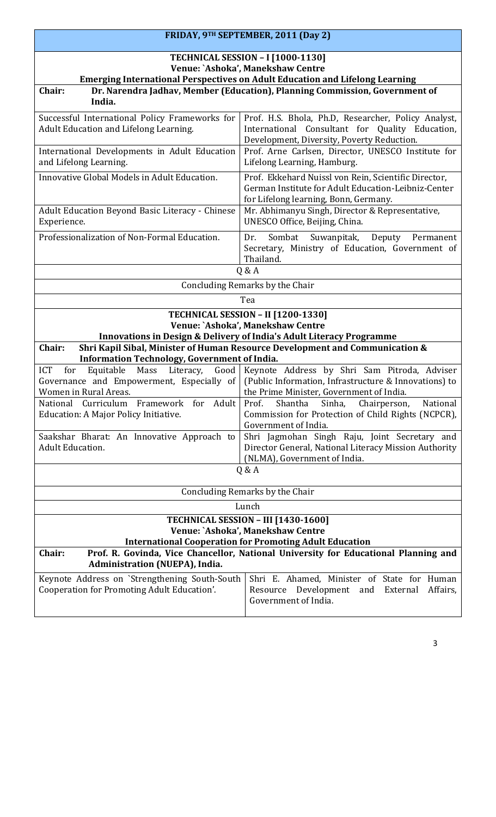|                                                                                                                                                                    | FRIDAY, 9TH SEPTEMBER, 2011 (Day 2)                                                                                                                  |  |
|--------------------------------------------------------------------------------------------------------------------------------------------------------------------|------------------------------------------------------------------------------------------------------------------------------------------------------|--|
| <b>TECHNICAL SESSION - I [1000-1130]</b>                                                                                                                           |                                                                                                                                                      |  |
| Venue: `Ashoka', Manekshaw Centre                                                                                                                                  |                                                                                                                                                      |  |
| <b>Emerging International Perspectives on Adult Education and Lifelong Learning</b><br>Dr. Narendra Jadhav, Member (Education), Planning Commission, Government of |                                                                                                                                                      |  |
| Chair:<br>India.                                                                                                                                                   |                                                                                                                                                      |  |
| Successful International Policy Frameworks for                                                                                                                     | Prof. H.S. Bhola, Ph.D, Researcher, Policy Analyst,                                                                                                  |  |
| Adult Education and Lifelong Learning.                                                                                                                             | International Consultant for Quality Education,<br>Development, Diversity, Poverty Reduction.                                                        |  |
| International Developments in Adult Education<br>and Lifelong Learning.                                                                                            | Prof. Arne Carlsen, Director, UNESCO Institute for<br>Lifelong Learning, Hamburg.                                                                    |  |
| Innovative Global Models in Adult Education.                                                                                                                       | Prof. Ekkehard Nuissl von Rein, Scientific Director,<br>German Institute for Adult Education-Leibniz-Center<br>for Lifelong learning, Bonn, Germany. |  |
| Adult Education Beyond Basic Literacy - Chinese<br>Experience.                                                                                                     | Mr. Abhimanyu Singh, Director & Representative,<br>UNESCO Office, Beijing, China.                                                                    |  |
| Professionalization of Non-Formal Education.                                                                                                                       | Sombat<br>Suwanpitak,<br>Deputy Permanent<br>Dr.<br>Secretary, Ministry of Education, Government of<br>Thailand.                                     |  |
|                                                                                                                                                                    | Q & A                                                                                                                                                |  |
|                                                                                                                                                                    | Concluding Remarks by the Chair                                                                                                                      |  |
|                                                                                                                                                                    | Tea                                                                                                                                                  |  |
|                                                                                                                                                                    | <b>TECHNICAL SESSION - II [1200-1330]</b>                                                                                                            |  |
|                                                                                                                                                                    | Venue: `Ashoka', Manekshaw Centre                                                                                                                    |  |
|                                                                                                                                                                    | <b>Innovations in Design &amp; Delivery of India's Adult Literacy Programme</b>                                                                      |  |
| Shri Kapil Sibal, Minister of Human Resource Development and Communication &<br>Chair:                                                                             |                                                                                                                                                      |  |
| Information Technology, Government of India.<br><b>ICT</b><br>Equitable<br>Mass<br>Literacy,<br>for                                                                | Good   Keynote Address by Shri Sam Pitroda, Adviser                                                                                                  |  |
|                                                                                                                                                                    | Governance and Empowerment, Especially of $\vert$ (Public Information, Infrastructure & Innovations) to                                              |  |
| Women in Rural Areas.                                                                                                                                              | the Prime Minister, Government of India.                                                                                                             |  |
| Adult<br>National<br>Curriculum<br>Framework for                                                                                                                   | Prof.<br>Shantha<br>Sinha,<br>National<br>Chairperson,                                                                                               |  |
| Education: A Major Policy Initiative.                                                                                                                              | Commission for Protection of Child Rights (NCPCR),                                                                                                   |  |
|                                                                                                                                                                    | Government of India.                                                                                                                                 |  |
| Saakshar Bharat: An Innovative Approach to<br><b>Adult Education.</b>                                                                                              | Shri Jagmohan Singh Raju, Joint Secretary and<br>Director General, National Literacy Mission Authority<br>(NLMA), Government of India.               |  |
| Q & A                                                                                                                                                              |                                                                                                                                                      |  |
| Concluding Remarks by the Chair                                                                                                                                    |                                                                                                                                                      |  |
| Lunch                                                                                                                                                              |                                                                                                                                                      |  |
| <b>TECHNICAL SESSION - III [1430-1600]</b>                                                                                                                         |                                                                                                                                                      |  |
| Venue: `Ashoka', Manekshaw Centre<br><b>International Cooperation for Promoting Adult Education</b>                                                                |                                                                                                                                                      |  |
| Chair:<br>Prof. R. Govinda, Vice Chancellor, National University for Educational Planning and<br>Administration (NUEPA), India.                                    |                                                                                                                                                      |  |
| Keynote Address on `Strengthening South-South                                                                                                                      | Shri E. Ahamed, Minister of State for Human                                                                                                          |  |
| Cooperation for Promoting Adult Education'.                                                                                                                        | Development and<br>Affairs,<br>Resource<br>External<br>Government of India.                                                                          |  |